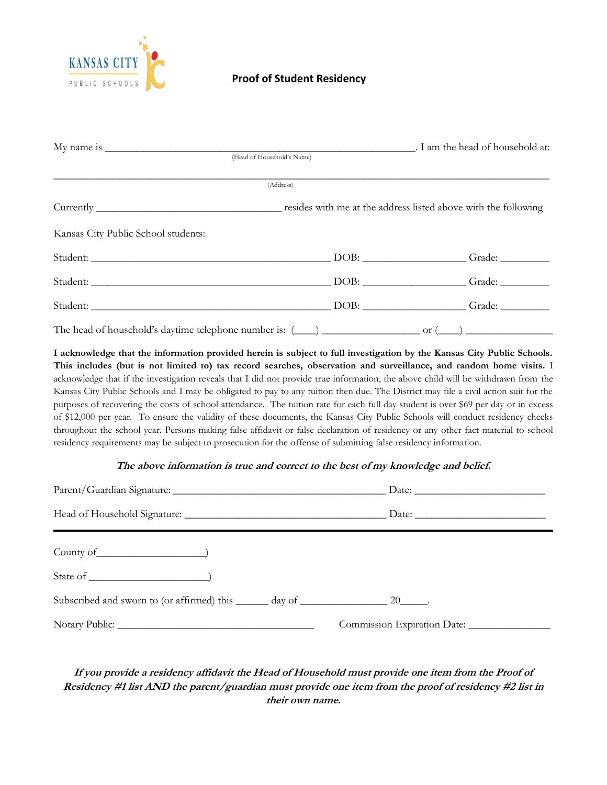

## **Proof of Student Residency**

| (Head of Household's Name) |                                                                                                                                                                                                                                |
|----------------------------|--------------------------------------------------------------------------------------------------------------------------------------------------------------------------------------------------------------------------------|
|                            |                                                                                                                                                                                                                                |
| (Address)                  |                                                                                                                                                                                                                                |
|                            |                                                                                                                                                                                                                                |
|                            |                                                                                                                                                                                                                                |
|                            | Student: Grade: Grade: Comparison of the Comparison of the Comparison of the Comparison of the Comparison of the Comparison of the Comparison of the Comparison of the Comparison of the Comparison of the Comparison of the C |
|                            |                                                                                                                                                                                                                                |
|                            | Student: Charles Contains and Charles Contains and Charles Contains and Charles Contains and Charles Contains and Charles Contains and Charles Contains and Charles Contains and Charles Contains and Charles Contains and Cha |
|                            |                                                                                                                                                                                                                                |
|                            |                                                                                                                                                                                                                                |

**I acknowledge that the information provided herein is subject to full investigation by the Kansas City Public Schools. This includes (but is not limited to) tax record searches, observation and surveillance, and random home visits.** I acknowledge that if the investigation reveals that I did not provide true information, the above child will be withdrawn from the Kansas City Public Schools and I may be obligated to pay to any tuition then due. The District may file a civil action suit for the purposes of recovering the costs of school attendance. The tuition rate for each full day student is over \$69 per day or in excess of \$12,000 per year. To ensure the validity of these documents, the Kansas City Public Schools will conduct residency checks throughout the school year. Persons making false affidavit or false declaration of residency or any other fact material to school residency requirements may be subject to prosecution for the offense of submitting false residency information.

#### **The above information is true and correct to the best of my knowledge and belief.**

| Subscribed and sworn to (or affirmed) this ______ day of ______________________ 20_______. |  |
|--------------------------------------------------------------------------------------------|--|
|                                                                                            |  |

# **If you provide a residency affidavit the Head of Household must provide one item from the Proof of Residency #1 list AND the parent/guardian must provide one item from the proof of residency #2 list in their own name.**